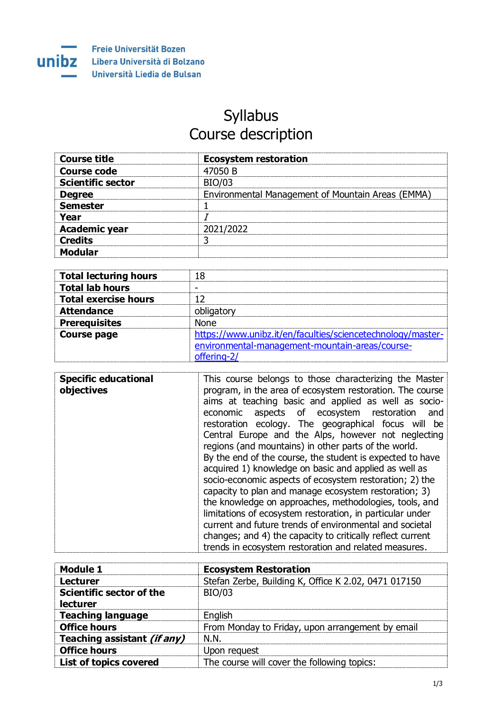

## Syllabus Course description

| <b>Course title</b>      | <b>Ecosystem restoration</b>                      |
|--------------------------|---------------------------------------------------|
| <b>Course code</b>       | 47050 B                                           |
| <b>Scientific sector</b> | <b>BIO/03</b>                                     |
| <b>Degree</b>            | Environmental Management of Mountain Areas (EMMA) |
| <b>Semester</b>          |                                                   |
| Year                     |                                                   |
| <b>Academic year</b>     | 2021/2022                                         |
| <b>Credits</b>           |                                                   |
| <b>Modular</b>           |                                                   |

| <b>Total lecturing hours</b> | 18                                                          |
|------------------------------|-------------------------------------------------------------|
| <b>Total lab hours</b>       |                                                             |
| <b>Total exercise hours</b>  |                                                             |
| <b>Attendance</b>            | obligatory                                                  |
| <b>Prerequisites</b>         | None                                                        |
| <b>Course page</b>           | https://www.unibz.it/en/faculties/sciencetechnology/master- |
|                              | environmental-management-mountain-areas/course-             |
|                              | offering-2/                                                 |

| <b>Specific educational</b><br>objectives | This course belongs to those characterizing the Master<br>program, in the area of ecosystem restoration. The course<br>aims at teaching basic and applied as well as socio-<br>aspects of ecosystem restoration<br>economic<br>and<br>restoration ecology. The geographical focus will be<br>Central Europe and the Alps, however not neglecting<br>regions (and mountains) in other parts of the world.<br>By the end of the course, the student is expected to have<br>acquired 1) knowledge on basic and applied as well as<br>socio-economic aspects of ecosystem restoration; 2) the<br>capacity to plan and manage ecosystem restoration; 3)<br>the knowledge on approaches, methodologies, tools, and<br>limitations of ecosystem restoration, in particular under<br>current and future trends of environmental and societal |
|-------------------------------------------|--------------------------------------------------------------------------------------------------------------------------------------------------------------------------------------------------------------------------------------------------------------------------------------------------------------------------------------------------------------------------------------------------------------------------------------------------------------------------------------------------------------------------------------------------------------------------------------------------------------------------------------------------------------------------------------------------------------------------------------------------------------------------------------------------------------------------------------|
|                                           | changes; and 4) the capacity to critically reflect current<br>trends in ecosystem restoration and related measures.                                                                                                                                                                                                                                                                                                                                                                                                                                                                                                                                                                                                                                                                                                                  |

| <b>Module 1</b>                             | <b>Ecosystem Restoration</b>                         |
|---------------------------------------------|------------------------------------------------------|
| <b>Lecturer</b>                             | Stefan Zerbe, Building K, Office K 2.02, 0471 017150 |
| Scientific sector of the<br><b>lecturer</b> | <b>BIO/03</b>                                        |
| <b>Teaching language</b>                    | English                                              |
| <b>Office hours</b>                         | From Monday to Friday, upon arrangement by email     |
| Teaching assistant (if any)                 | N.N.                                                 |
| <b>Office hours</b>                         | Upon request                                         |
| List of topics covered                      | The course will cover the following topics:          |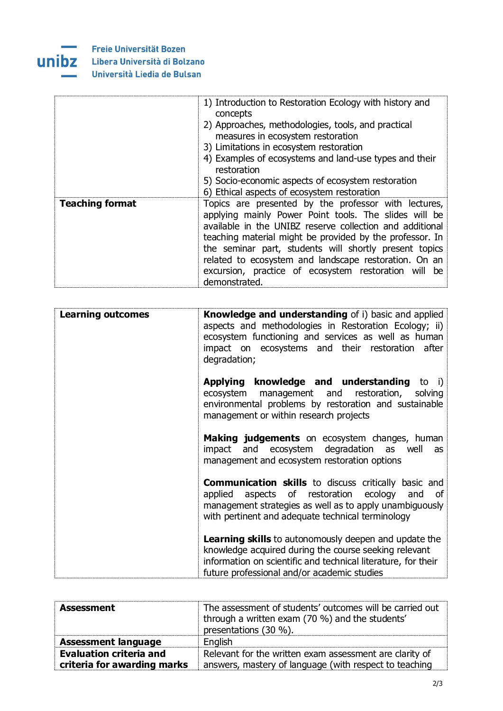

Libera Università di Bolzano Università Liedia de Bulsan

|                        | 1) Introduction to Restoration Ecology with history and<br>concepts<br>2) Approaches, methodologies, tools, and practical<br>measures in ecosystem restoration<br>3) Limitations in ecosystem restoration<br>4) Examples of ecosystems and land-use types and their<br>restoration<br>5) Socio-economic aspects of ecosystem restoration<br>6) Ethical aspects of ecosystem restoration                                           |
|------------------------|-----------------------------------------------------------------------------------------------------------------------------------------------------------------------------------------------------------------------------------------------------------------------------------------------------------------------------------------------------------------------------------------------------------------------------------|
| <b>Teaching format</b> | Topics are presented by the professor with lectures,<br>applying mainly Power Point tools. The slides will be<br>available in the UNIBZ reserve collection and additional<br>teaching material might be provided by the professor. In<br>the seminar part, students will shortly present topics<br>related to ecosystem and landscape restoration. On an<br>excursion, practice of ecosystem restoration will be<br>demonstrated. |

| <b>Learning outcomes</b> | <b>Knowledge and understanding</b> of i) basic and applied<br>aspects and methodologies in Restoration Ecology; ii)<br>ecosystem functioning and services as well as human<br>impact on ecosystems and their restoration after<br>degradation; |
|--------------------------|------------------------------------------------------------------------------------------------------------------------------------------------------------------------------------------------------------------------------------------------|
|                          | <b>Applying knowledge and understanding to i)</b><br>ecosystem management and restoration,<br>solving<br>environmental problems by restoration and sustainable<br>management or within research projects                                       |
|                          | Making judgements on ecosystem changes, human<br>and ecosystem degradation as well<br>impact<br>as<br>management and ecosystem restoration options                                                                                             |
|                          | <b>Communication skills</b> to discuss critically basic and<br>applied aspects of restoration ecology and<br>οf<br>management strategies as well as to apply unambiguously<br>with pertinent and adequate technical terminology                |
|                          | <b>Learning skills</b> to autonomously deepen and update the<br>knowledge acquired during the course seeking relevant<br>information on scientific and technical literature, for their<br>future professional and/or academic studies          |

| <b>Assessment</b>                                             | The assessment of students' outcomes will be carried out<br>through a written exam (70 %) and the students'<br>presentations (30 %). |
|---------------------------------------------------------------|--------------------------------------------------------------------------------------------------------------------------------------|
| <b>Assessment language</b>                                    | English                                                                                                                              |
| <b>Evaluation criteria and</b><br>criteria for awarding marks | Relevant for the written exam assessment are clarity of<br>answers, mastery of language (with respect to teaching                    |